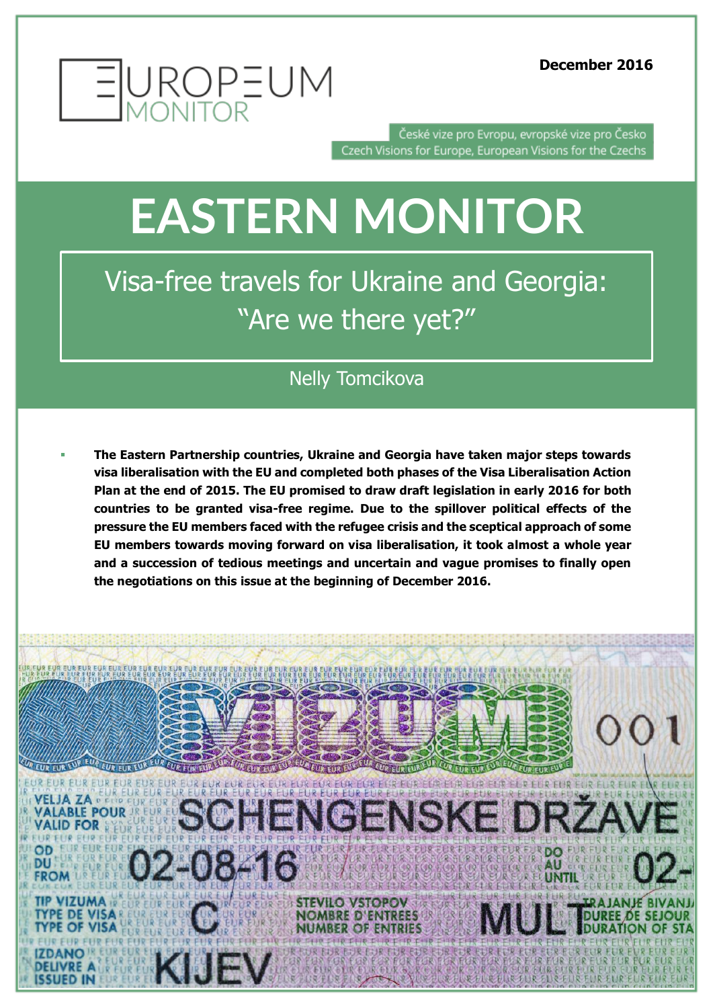

České vize pro Evropu, evropské vize pro Česko Czech Visions for Europe, European Visions for the Czechs

## **EASTERN MONITOR**

Visa-free travels for Ukraine and Georgia: "Are we there yet?"

## Nelly Tomcikova

 **The Eastern Partnership countries, Ukraine and Georgia have taken major steps towards visa liberalisation with the EU and completed both phases of the Visa Liberalisation Action Plan at the end of 2015. The EU promised to draw draft legislation in early 2016 for both countries to be granted visa-free regime. Due to the spillover political effects of the pressure the EU members faced with the refugee crisis and the sceptical approach of some EU members towards moving forward on visa liberalisation, it took almost a whole year and a succession of tedious meetings and uncertain and vague promises to finally open the negotiations on this issue at the beginning of December 2016.**

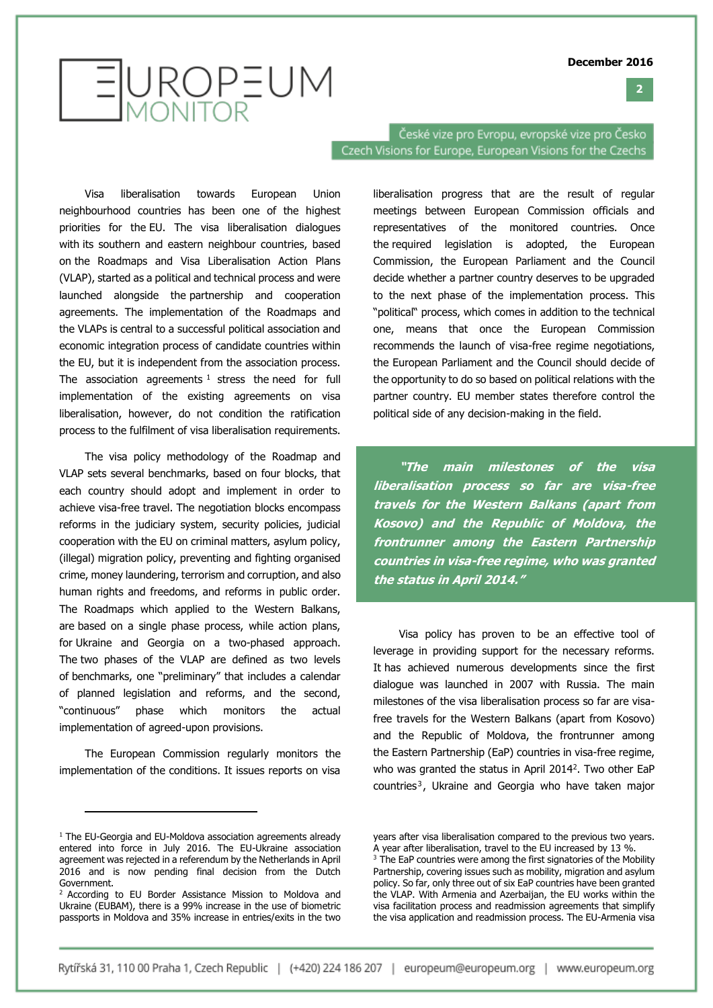#### **2**

# EUROPEUM

České vize pro Evropu, evropské vize pro Česko Czech Visions for Europe, European Visions for the Czechs

Visa liberalisation towards European Union neighbourhood countries has been one of the highest priorities for the EU. The visa liberalisation dialogues with its southern and eastern neighbour countries, based on the Roadmaps and Visa Liberalisation Action Plans (VLAP), started as a political and technical process and were launched alongside the partnership and cooperation agreements. The implementation of the Roadmaps and the VLAPs is central to a successful political association and economic integration process of candidate countries within the EU, but it is independent from the association process. The association agreements  $1$  stress the need for full implementation of the existing agreements on visa liberalisation, however, do not condition the ratification process to the fulfilment of visa liberalisation requirements.

The visa policy methodology of the Roadmap and VLAP sets several benchmarks, based on four blocks, that each country should adopt and implement in order to achieve visa-free travel. The negotiation blocks encompass reforms in the judiciary system, security policies, judicial cooperation with the EU on criminal matters, asylum policy, (illegal) migration policy, preventing and fighting organised crime, money laundering, terrorism and corruption, and also human rights and freedoms, and reforms in public order. The Roadmaps which applied to the Western Balkans, are based on a single phase process, while action plans, for Ukraine and Georgia on a two-phased approach. The two phases of the VLAP are defined as two levels of benchmarks, one "preliminary" that includes a calendar of planned legislation and reforms, and the second, "continuous" phase which monitors the actual implementation of agreed-upon provisions.

The European Commission regularly monitors the implementation of the conditions. It issues reports on visa

j

liberalisation progress that are the result of regular meetings between European Commission officials and representatives of the monitored countries. Once the required legislation is adopted, the European Commission, the European Parliament and the Council decide whether a partner country deserves to be upgraded to the next phase of the implementation process. This "political" process, which comes in addition to the technical one, means that once the European Commission recommends the launch of visa-free regime negotiations, the European Parliament and the Council should decide of the opportunity to do so based on political relations with the partner country. EU member states therefore control the political side of any decision-making in the field.

**"The main milestones of the visa liberalisation process so far are visa-free travels for the Western Balkans (apart from Kosovo) and the Republic of Moldova, the frontrunner among the Eastern Partnership countries in visa-free regime, who was granted the status in April 2014."**

Visa policy has proven to be an effective tool of leverage in providing support for the necessary reforms. It has achieved numerous developments since the first dialogue was launched in 2007 with Russia. The main milestones of the visa liberalisation process so far are visafree travels for the Western Balkans (apart from Kosovo) and the Republic of Moldova, the frontrunner among the Eastern Partnership (EaP) countries in visa-free regime, who was granted the status in April 2014<sup>2</sup>. Two other EaP  $countries<sup>3</sup>$ , Ukraine and Georgia who have taken major

 $1$  The EU-Georgia and EU-Moldova association agreements already entered into force in July 2016. The EU-Ukraine association agreement was rejected in a referendum by the Netherlands in April 2016 and is now pending final decision from the Dutch Government.

<sup>&</sup>lt;sup>2</sup> According to EU Border Assistance Mission to Moldova and Ukraine (EUBAM), there is a 99% increase in the use of biometric passports in Moldova and 35% increase in entries/exits in the two

years after visa liberalisation compared to the previous two years. A year after liberalisation, travel to the EU increased by 13 %.

 $3$  The EaP countries were among the first signatories of the Mobility Partnership, covering issues such as mobility, migration and asylum policy. So far, only three out of six EaP countries have been granted the VLAP. With Armenia and Azerbaijan, the EU works within the visa facilitation process and readmission agreements that simplify the visa application and readmission process. The EU-Armenia visa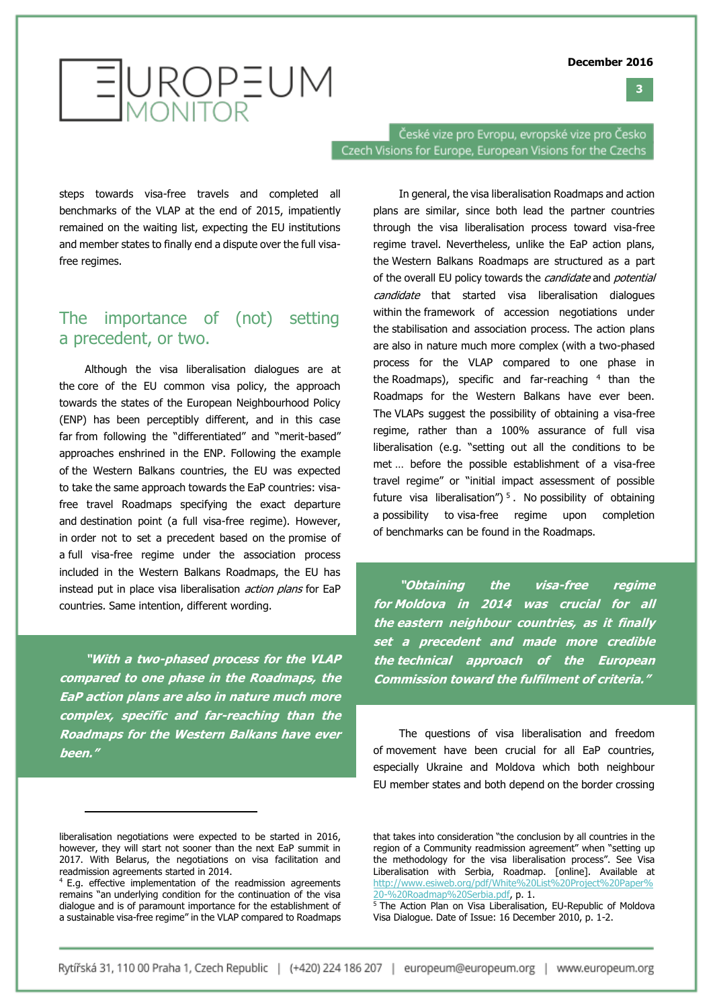**3**



České vize pro Evropu, evropské vize pro Česko Czech Visions for Europe, European Visions for the Czechs

steps towards visa-free travels and completed all benchmarks of the VLAP at the end of 2015, impatiently remained on the waiting list, expecting the EU institutions and member states to finally end a dispute over the full visafree regimes.

### The importance of (not) setting a precedent, or two.

Although the visa liberalisation dialogues are at the core of the EU common visa policy, the approach towards the states of the European Neighbourhood Policy (ENP) has been perceptibly different, and in this case far from following the "differentiated" and "merit-based" approaches enshrined in the ENP. Following the example of the Western Balkans countries, the EU was expected to take the same approach towards the EaP countries: visafree travel Roadmaps specifying the exact departure and destination point (a full visa-free regime). However, in order not to set a precedent based on the promise of a full visa-free regime under the association process included in the Western Balkans Roadmaps, the EU has instead put in place visa liberalisation *action plans* for EaP countries. Same intention, different wording.

**"With a two-phased process for the VLAP compared to one phase in the Roadmaps, the EaP action plans are also in nature much more complex, specific and far-reaching than the Roadmaps for the Western Balkans have ever been."**

j

In general, the visa liberalisation Roadmaps and action plans are similar, since both lead the partner countries through the visa liberalisation process toward visa-free regime travel. Nevertheless, unlike the EaP action plans, the Western Balkans Roadmaps are structured as a part of the overall EU policy towards the *candidate* and *potential* candidate that started visa liberalisation dialogues within the framework of accession negotiations under the stabilisation and association process. The action plans are also in nature much more complex (with a two-phased process for the VLAP compared to one phase in the Roadmaps), specific and far-reaching  $4$  than the Roadmaps for the Western Balkans have ever been. The VLAPs suggest the possibility of obtaining a visa-free regime, rather than a 100% assurance of full visa liberalisation (e.g. "setting out all the conditions to be met … before the possible establishment of a visa-free travel regime" or "initial impact assessment of possible future visa liberalisation")  $5$ . No possibility of obtaining a possibility to visa-free regime upon completion of benchmarks can be found in the Roadmaps.

**"Obtaining the visa-free regime for Moldova in 2014 was crucial for all the eastern neighbour countries, as it finally set a precedent and made more credible the technical approach of the European Commission toward the fulfilment of criteria."**

The questions of visa liberalisation and freedom of movement have been crucial for all EaP countries, especially Ukraine and Moldova which both neighbour EU member states and both depend on the border crossing

liberalisation negotiations were expected to be started in 2016, however, they will start not sooner than the next EaP summit in 2017. With Belarus, the negotiations on visa facilitation and readmission agreements started in 2014.

<sup>4</sup> E.g. effective implementation of the readmission agreements remains "an underlying condition for the continuation of the visa dialogue and is of paramount importance for the establishment of a sustainable visa-free regime" in the VLAP compared to Roadmaps

that takes into consideration "the conclusion by all countries in the region of a Community readmission agreement" when "setting up the methodology for the visa liberalisation process". See Visa Liberalisation with Serbia, Roadmap. [online]. Available at [http://www.esiweb.org/pdf/White%20List%20Project%20Paper%](http://www.esiweb.org/pdf/White%20List%20Project%20Paper%20-%20Roadmap%20Serbia.pdf) [20-%20Roadmap%20Serbia.pdf,](http://www.esiweb.org/pdf/White%20List%20Project%20Paper%20-%20Roadmap%20Serbia.pdf) p. 1.

<sup>5</sup> The Action Plan on Visa Liberalisation, EU-Republic of Moldova Visa Dialogue. Date of Issue: 16 December 2010, p. 1-2.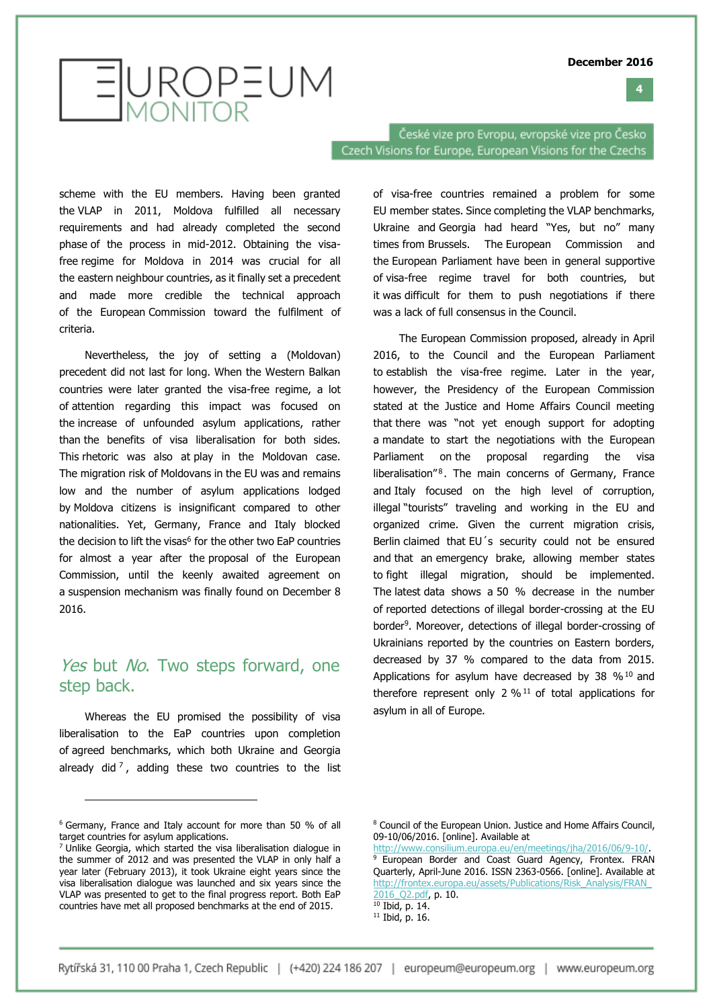**4**

# EUROPEUM

České vize pro Evropu, evropské vize pro Česko Czech Visions for Europe, European Visions for the Czechs

scheme with the EU members. Having been granted the VLAP in 2011, Moldova fulfilled all necessary requirements and had already completed the second phase of the process in mid-2012. Obtaining the visafree regime for Moldova in 2014 was crucial for all the eastern neighbour countries, as it finally set a precedent and made more credible the technical approach of the European Commission toward the fulfilment of criteria.

Nevertheless, the joy of setting a (Moldovan) precedent did not last for long. When the Western Balkan countries were later granted the visa-free regime, a lot of attention regarding this impact was focused on the increase of unfounded asylum applications, rather than the benefits of visa liberalisation for both sides. This rhetoric was also at play in the Moldovan case. The migration risk of Moldovans in the EU was and remains low and the number of asylum applications lodged by Moldova citizens is insignificant compared to other nationalities. Yet, Germany, France and Italy blocked the decision to lift the visas<sup>6</sup> for the other two EaP countries for almost a year after the proposal of the European Commission, until the keenly awaited agreement on a suspension mechanism was finally found on December 8 2016.

### Yes but No. Two steps forward, one step back.

Whereas the EU promised the possibility of visa liberalisation to the EaP countries upon completion of agreed benchmarks, which both Ukraine and Georgia already did<sup>7</sup>, adding these two countries to the list

j

of visa-free countries remained a problem for some EU member states. Since completing the VLAP benchmarks, Ukraine and Georgia had heard "Yes, but no" many times from Brussels. The European Commission and the European Parliament have been in general supportive of visa-free regime travel for both countries, but it was difficult for them to push negotiations if there was a lack of full consensus in the Council.

The European Commission proposed, already in April 2016, to the Council and the European Parliament to establish the visa-free regime. Later in the year, however, the Presidency of the European Commission stated at the Justice and Home Affairs Council meeting that there was "not yet enough support for adopting a mandate to start the negotiations with the European Parliament on the proposal regarding the visa liberalisation<sup>"8</sup>. The main concerns of Germany, France and Italy focused on the high level of corruption, illegal "tourists" traveling and working in the EU and organized crime. Given the current migration crisis, Berlin claimed that EU´s security could not be ensured and that an emergency brake, allowing member states to fight illegal migration, should be implemented. The latest data shows a 50 % decrease in the number of reported detections of illegal border-crossing at the EU border<sup>9</sup>. Moreover, detections of illegal border-crossing of Ukrainians reported by the countries on Eastern borders, decreased by 37 % compared to the data from 2015. Applications for asylum have decreased by 38  $%10$  and therefore represent only 2  $\%$ <sup>11</sup> of total applications for asylum in all of Europe.

 $11$  Ibid, p. 16.

<sup>6</sup> Germany, France and Italy account for more than 50 % of all target countries for asylum applications.

<sup>7</sup> Unlike Georgia, which started the visa liberalisation dialogue in the summer of 2012 and was presented the VLAP in only half a year later (February 2013), it took Ukraine eight years since the visa liberalisation dialogue was launched and six years since the VLAP was presented to get to the final progress report. Both EaP countries have met all proposed benchmarks at the end of 2015.

<sup>8</sup> Council of the European Union. Justice and Home Affairs Council, 09-10/06/2016. [online]. Available at

[http://www.consilium.europa.eu/en/meetings/jha/2016/06/9-10/.](http://www.consilium.europa.eu/en/meetings/jha/2016/06/9-10/) <sup>9</sup> European Border and Coast Guard Agency, Frontex. FRAN Quarterly, April-June 2016. ISSN 2363-0566. [online]. Available at [http://frontex.europa.eu/assets/Publications/Risk\\_Analysis/FRAN\\_](http://frontex.europa.eu/assets/Publications/Risk_Analysis/FRAN_2016_Q2.pdf) [2016\\_Q2.pdf,](http://frontex.europa.eu/assets/Publications/Risk_Analysis/FRAN_2016_Q2.pdf) p. 10.

 $10$  Ibid, p. 14.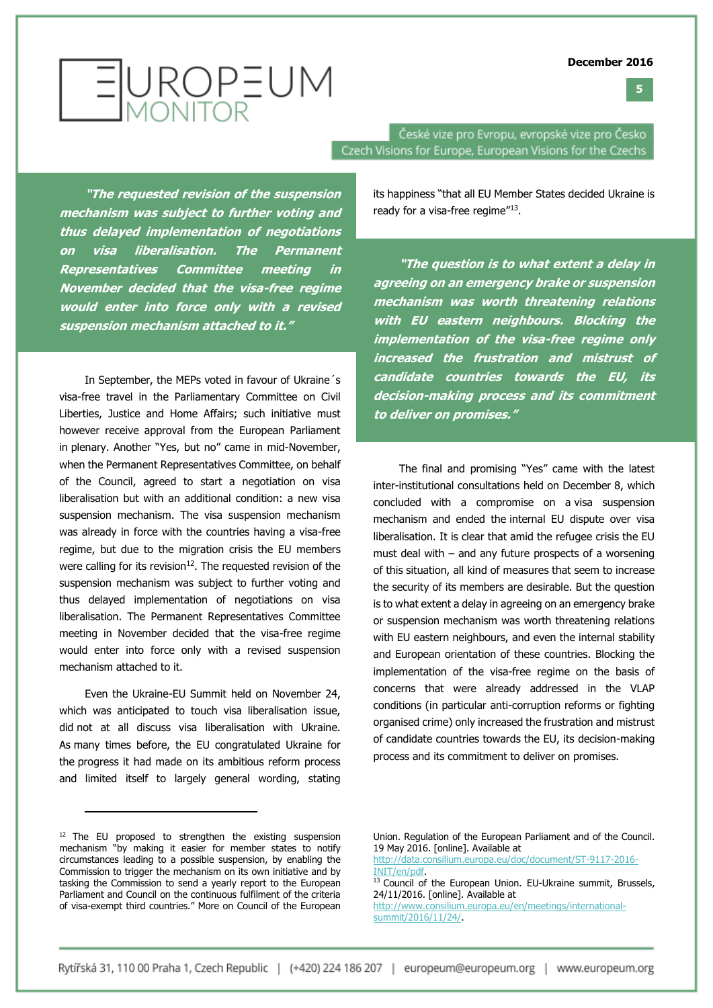**5**



**"The requested revision of the suspension mechanism was subject to further voting and thus delayed implementation of negotiations on visa liberalisation. The Permanent Representatives Committee meeting in November decided that the visa-free regime would enter into force only with a revised suspension mechanism attached to it."**

In September, the MEPs voted in favour of Ukraine´s visa-free travel in the Parliamentary Committee on Civil Liberties, Justice and Home Affairs; such initiative must however receive approval from the European Parliament in plenary. Another "Yes, but no" came in mid-November, when the Permanent Representatives Committee, on behalf of the Council, agreed to start a negotiation on visa liberalisation but with an additional condition: a new visa suspension mechanism. The visa suspension mechanism was already in force with the countries having a visa-free regime, but due to the migration crisis the EU members were calling for its revision $^{12}$ . The requested revision of the suspension mechanism was subject to further voting and thus delayed implementation of negotiations on visa liberalisation. The Permanent Representatives Committee meeting in November decided that the visa-free regime would enter into force only with a revised suspension mechanism attached to it.

Even the Ukraine-EU Summit held on November 24, which was anticipated to touch visa liberalisation issue, did not at all discuss visa liberalisation with Ukraine. As many times before, the EU congratulated Ukraine for the progress it had made on its ambitious reform process and limited itself to largely general wording, stating

České vize pro Evropu, evropské vize pro Česko Czech Visions for Europe, European Visions for the Czechs

> its happiness "that all EU Member States decided Ukraine is ready for a visa-free regime"<sup>13</sup>.

> **"The question is to what extent a delay in agreeing on an emergency brake or suspension mechanism was worth threatening relations with EU eastern neighbours. Blocking the implementation of the visa-free regime only increased the frustration and mistrust of candidate countries towards the EU, its decision-making process and its commitment to deliver on promises."**

> The final and promising "Yes" came with the latest inter-institutional consultations held on December 8, which concluded with a compromise on a visa suspension mechanism and ended the internal EU dispute over visa liberalisation. It is clear that amid the refugee crisis the EU must deal with – and any future prospects of a worsening of this situation, all kind of measures that seem to increase the security of its members are desirable. But the question is to what extent a delay in agreeing on an emergency brake or suspension mechanism was worth threatening relations with EU eastern neighbours, and even the internal stability and European orientation of these countries. Blocking the implementation of the visa-free regime on the basis of concerns that were already addressed in the VLAP conditions (in particular anti-corruption reforms or fighting organised crime) only increased the frustration and mistrust of candidate countries towards the EU, its decision-making process and its commitment to deliver on promises.

j

 $12$  The EU proposed to strengthen the existing suspension mechanism "by making it easier for member states to notify circumstances leading to a possible suspension, by enabling the Commission to trigger the mechanism on its own initiative and by tasking the Commission to send a yearly report to the European Parliament and Council on the continuous fulfilment of the criteria of visa-exempt third countries." More on Council of the European

Union. Regulation of the European Parliament and of the Council. 19 May 2016. [online]. Available at

[http://data.consilium.europa.eu/doc/document/ST-9117-2016-](http://data.consilium.europa.eu/doc/document/ST-9117-2016-INIT/en/pdf) [INIT/en/pdf.](http://data.consilium.europa.eu/doc/document/ST-9117-2016-INIT/en/pdf)

<sup>&</sup>lt;sup>13</sup> Council of the European Union. EU-Ukraine summit, Brussels, 24/11/2016. [online]. Available at [http://www.consilium.europa.eu/en/meetings/international](http://www.consilium.europa.eu/en/meetings/international-summit/2016/11/24/)[summit/2016/11/24/.](http://www.consilium.europa.eu/en/meetings/international-summit/2016/11/24/)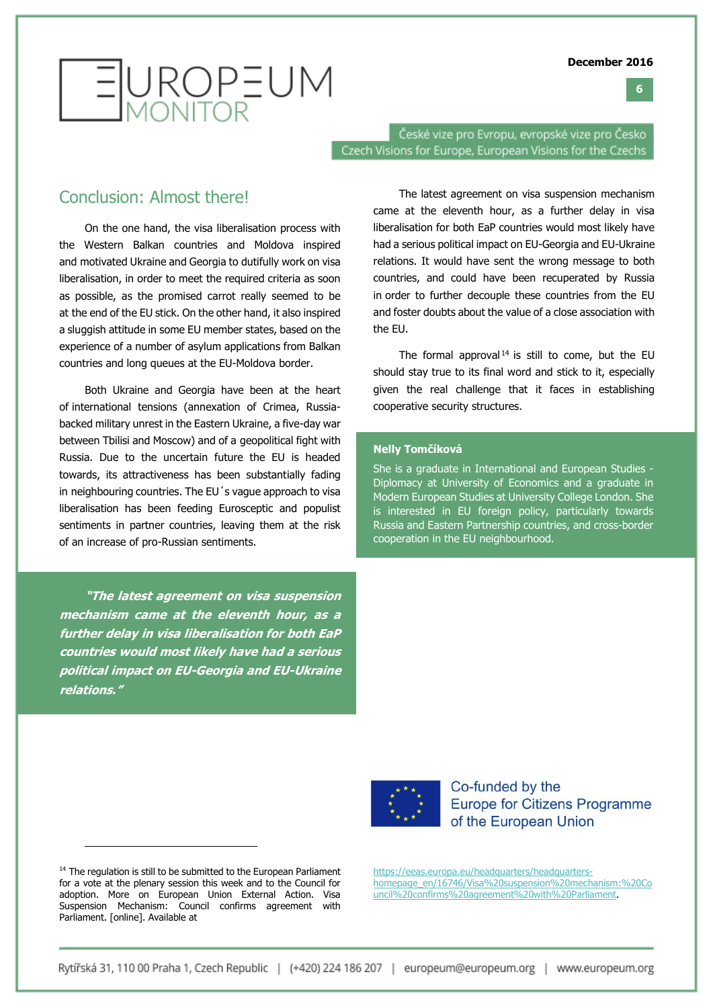



České vize pro Evropu, evropské vize pro Česko Czech Visions for Europe, European Visions for the Czechs

#### Conclusion: Almost there!

On the one hand, the visa liberalisation process with the Western Balkan countries and Moldova inspired and motivated Ukraine and Georgia to dutifully work on visa liberalisation, in order to meet the required criteria as soon as possible, as the promised carrot really seemed to be at the end of the EU stick. On the other hand, it also inspired a sluggish attitude in some EU member states, based on the experience of a number of asylum applications from Balkan countries and long queues at the EU-Moldova border.

Both Ukraine and Georgia have been at the heart of international tensions (annexation of Crimea, Russiabacked military unrest in the Eastern Ukraine, a five-day war between Tbilisi and Moscow) and of a geopolitical fight with Russia. Due to the uncertain future the EU is headed towards, its attractiveness has been substantially fading in neighbouring countries. The EU´s vague approach to visa liberalisation has been feeding Eurosceptic and populist sentiments in partner countries, leaving them at the risk of an increase of pro-Russian sentiments.

**"The latest agreement on visa suspension mechanism came at the eleventh hour, as a further delay in visa liberalisation for both EaP countries would most likely have had a serious political impact on EU-Georgia and EU-Ukraine relations."**

The latest agreement on visa suspension mechanism came at the eleventh hour, as a further delay in visa liberalisation for both EaP countries would most likely have had a serious political impact on EU-Georgia and EU-Ukraine relations. It would have sent the wrong message to both countries, and could have been recuperated by Russia in order to further decouple these countries from the EU and foster doubts about the value of a close association with the EU.

The formal approval<sup>14</sup> is still to come, but the EU should stay true to its final word and stick to it, especially given the real challenge that it faces in establishing cooperative security structures.

#### **Nelly Tomčíková**

She is a graduate in International and European Studies - Diplomacy at University of Economics and a graduate in Modern European Studies at University College London. She is interested in EU foreign policy, particularly towards Russia and Eastern Partnership countries, and cross-border cooperation in the EU neighbourhood.



Co-funded by the **Europe for Citizens Programme** of the European Union

<sup>14</sup> The regulation is still to be submitted to the European Parliament for a vote at the plenary session this week and to the Council for adoption. More on European Union External Action. Visa Suspension Mechanism: Council confirms agreement with Parliament. [online]. Available at

j

[https://eeas.europa.eu/headquarters/headquarters](https://eeas.europa.eu/headquarters/headquarters-homepage_en/16746/Visa%20suspension%20mechanism:%20Council%20confirms%20agreement%20with%20Parliament)[homepage\\_en/16746/Visa%20suspension%20mechanism:%20Co](https://eeas.europa.eu/headquarters/headquarters-homepage_en/16746/Visa%20suspension%20mechanism:%20Council%20confirms%20agreement%20with%20Parliament) [uncil%20confirms%20agreement%20with%20Parliament.](https://eeas.europa.eu/headquarters/headquarters-homepage_en/16746/Visa%20suspension%20mechanism:%20Council%20confirms%20agreement%20with%20Parliament)